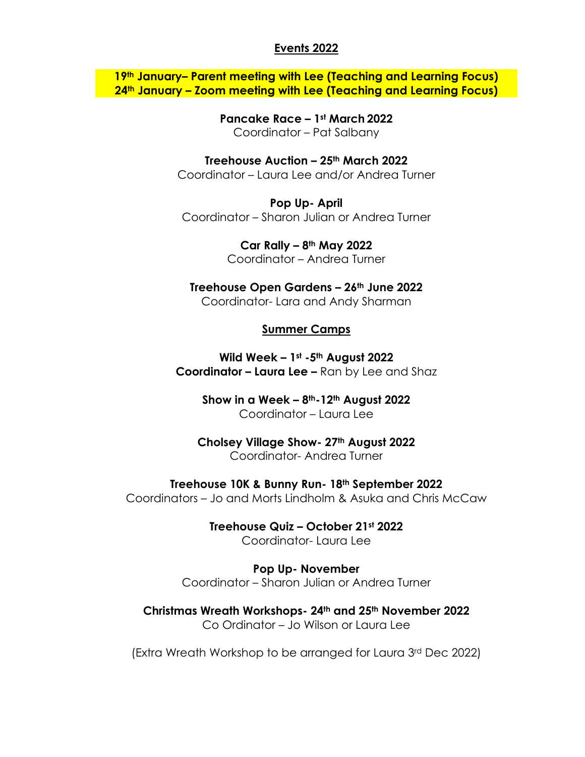## **Events 2022**

**19th January– Parent meeting with Lee (Teaching and Learning Focus) 24th January – Zoom meeting with Lee (Teaching and Learning Focus)**

> **Pancake Race – 1st March 2022** Coordinator – Pat Salbany

**Treehouse Auction – 25th March 2022** Coordinator – Laura Lee and/or Andrea Turner

**Pop Up- April** Coordinator – Sharon Julian or Andrea Turner

> **Car Rally – 8th May 2022** Coordinator – Andrea Turner

**Treehouse Open Gardens – 26th June 2022** Coordinator- Lara and Andy Sharman

## **Summer Camps**

**Wild Week – 1st -5th August 2022 Coordinator – Laura Lee –** Ran by Lee and Shaz

> **Show in a Week – 8th-12th August 2022** Coordinator – Laura Lee

**Cholsey Village Show- 27th August 2022** Coordinator- Andrea Turner

**Treehouse 10K & Bunny Run- 18th September 2022** Coordinators – Jo and Morts Lindholm & Asuka and Chris McCaw

> **Treehouse Quiz – October 21st 2022** Coordinator- Laura Lee

**Pop Up- November** Coordinator – Sharon Julian or Andrea Turner

**Christmas Wreath Workshops- 24th and 25th November 2022** Co Ordinator – Jo Wilson or Laura Lee

(Extra Wreath Workshop to be arranged for Laura 3rd Dec 2022)